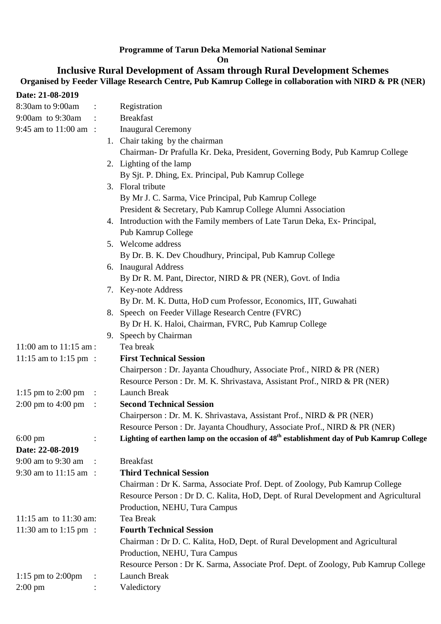### **Programme of Tarun Deka Memorial National Seminar**

**On** 

#### **Inclusive Rural Development of Assam through Rural Development Schemes Organised by Feeder Village Research Centre, Pub Kamrup College in collaboration with NIRD & PR (NER)**

| Date: 21-08-2019                       |                           |                                                                                                      |
|----------------------------------------|---------------------------|------------------------------------------------------------------------------------------------------|
| 8:30am to 9:00am                       | $\mathbb{C}^{\mathbb{Z}}$ | Registration                                                                                         |
| 9:00am to 9:30am                       | $\sim$ 100 $\sim$         | <b>Breakfast</b>                                                                                     |
| 9:45 am to $11:00$ am :                |                           | <b>Inaugural Ceremony</b>                                                                            |
|                                        |                           | 1. Chair taking by the chairman                                                                      |
|                                        |                           | Chairman- Dr Prafulla Kr. Deka, President, Governing Body, Pub Kamrup College                        |
|                                        |                           | 2. Lighting of the lamp                                                                              |
|                                        |                           | By Sjt. P. Dhing, Ex. Principal, Pub Kamrup College                                                  |
|                                        |                           | 3. Floral tribute                                                                                    |
|                                        |                           | By Mr J. C. Sarma, Vice Principal, Pub Kamrup College                                                |
|                                        |                           | President & Secretary, Pub Kamrup College Alumni Association                                         |
|                                        |                           | 4. Introduction with the Family members of Late Tarun Deka, Ex-Principal,                            |
|                                        |                           | Pub Kamrup College                                                                                   |
|                                        |                           | 5. Welcome address                                                                                   |
|                                        |                           | By Dr. B. K. Dev Choudhury, Principal, Pub Kamrup College                                            |
|                                        |                           | 6. Inaugural Address                                                                                 |
|                                        |                           | By Dr R. M. Pant, Director, NIRD & PR (NER), Govt. of India                                          |
|                                        |                           | 7. Key-note Address                                                                                  |
|                                        |                           | By Dr. M. K. Dutta, HoD cum Professor, Economics, IIT, Guwahati                                      |
|                                        |                           | 8. Speech on Feeder Village Research Centre (FVRC)                                                   |
|                                        |                           | By Dr H. K. Haloi, Chairman, FVRC, Pub Kamrup College                                                |
|                                        |                           | 9. Speech by Chairman                                                                                |
| 11:00 am to 11:15 am :                 |                           | Tea break                                                                                            |
| 11:15 am to 1:15 pm :                  |                           | <b>First Technical Session</b>                                                                       |
|                                        |                           | Chairperson : Dr. Jayanta Choudhury, Associate Prof., NIRD & PR (NER)                                |
|                                        |                           | Resource Person : Dr. M. K. Shrivastava, Assistant Prof., NIRD & PR (NER)                            |
| 1:15 pm to 2:00 pm                     | $\sim 10$                 | Launch Break                                                                                         |
| $2:00 \text{ pm}$ to $4:00 \text{ pm}$ | $\mathbb{R}^{\bullet}$    | <b>Second Technical Session</b>                                                                      |
|                                        |                           | Chairperson: Dr. M. K. Shrivastava, Assistant Prof., NIRD & PR (NER)                                 |
|                                        |                           | Resource Person : Dr. Jayanta Choudhury, Associate Prof., NIRD & PR (NER)                            |
| $6:00 \text{ pm}$                      | $\ddot{\cdot}$            | Lighting of earthen lamp on the occasion of 48 <sup>th</sup> establishment day of Pub Kamrup College |
| Date: 22-08-2019                       |                           |                                                                                                      |
| 9:00 am to 9:30 am                     |                           | <b>Breakfast</b>                                                                                     |
| 9:30 am to 11:15 am :                  |                           | <b>Third Technical Session</b>                                                                       |
|                                        |                           | Chairman: Dr K. Sarma, Associate Prof. Dept. of Zoology, Pub Kamrup College                          |
|                                        |                           | Resource Person : Dr D. C. Kalita, HoD, Dept. of Rural Development and Agricultural                  |
|                                        |                           | Production, NEHU, Tura Campus                                                                        |
| 11:15 am to $11:30$ am:                |                           | Tea Break                                                                                            |
| 11:30 am to 1:15 pm :                  |                           | <b>Fourth Technical Session</b>                                                                      |
|                                        |                           | Chairman: Dr D. C. Kalita, HoD, Dept. of Rural Development and Agricultural                          |
|                                        |                           | Production, NEHU, Tura Campus                                                                        |
|                                        |                           | Resource Person : Dr K. Sarma, Associate Prof. Dept. of Zoology, Pub Kamrup College                  |
| 1:15 pm to $2:00$ pm                   | $\ddot{\cdot}$            | Launch Break                                                                                         |
| $2:00 \text{ pm}$                      |                           | Valedictory                                                                                          |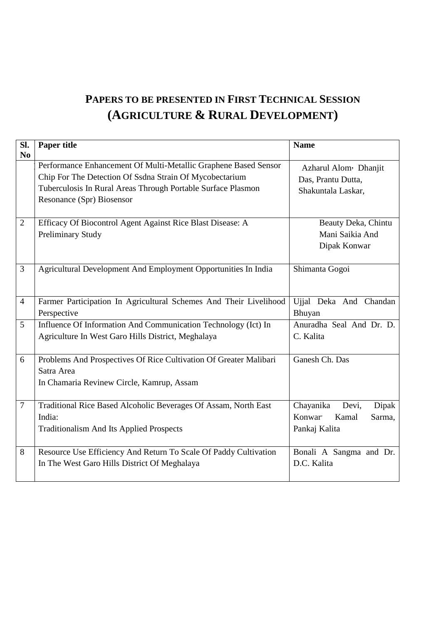## **PAPERS TO BE PRESENTED IN FIRST TECHNICAL SESSION (AGRICULTURE & RURAL DEVELOPMENT)**

| SI.<br>N <sub>0</sub> | <b>Paper title</b>                                                                                                                                                                                                      | <b>Name</b>                                                                   |
|-----------------------|-------------------------------------------------------------------------------------------------------------------------------------------------------------------------------------------------------------------------|-------------------------------------------------------------------------------|
|                       | Performance Enhancement Of Multi-Metallic Graphene Based Sensor<br>Chip For The Detection Of Ssdna Strain Of Mycobectarium<br>Tuberculosis In Rural Areas Through Portable Surface Plasmon<br>Resonance (Spr) Biosensor | Azharul Alom <sup>,</sup> Dhanjit<br>Das, Prantu Dutta,<br>Shakuntala Laskar, |
| $\overline{2}$        | Efficacy Of Biocontrol Agent Against Rice Blast Disease: A<br><b>Preliminary Study</b>                                                                                                                                  | Beauty Deka, Chintu<br>Mani Saikia And<br>Dipak Konwar                        |
| 3                     | Agricultural Development And Employment Opportunities In India                                                                                                                                                          | Shimanta Gogoi                                                                |
| $\overline{4}$        | Farmer Participation In Agricultural Schemes And Their Livelihood<br>Perspective                                                                                                                                        | Ujjal Deka And Chandan<br>Bhuyan                                              |
| 5                     | Influence Of Information And Communication Technology (Ict) In<br>Agriculture In West Garo Hills District, Meghalaya                                                                                                    | Anuradha Seal And Dr. D.<br>C. Kalita                                         |
| 6                     | Problems And Prospectives Of Rice Cultivation Of Greater Malibari<br>Satra Area<br>In Chamaria Revinew Circle, Kamrup, Assam                                                                                            | Ganesh Ch. Das                                                                |
| 7                     | Traditional Rice Based Alcoholic Beverages Of Assam, North East<br>India:<br><b>Traditionalism And Its Applied Prospects</b>                                                                                            | Chayanika<br>Devi,<br>Dipak<br>Konwar'<br>Kamal<br>Sarma.<br>Pankaj Kalita    |
| 8                     | Resource Use Efficiency And Return To Scale Of Paddy Cultivation<br>In The West Garo Hills District Of Meghalaya                                                                                                        | Bonali A Sangma and Dr.<br>D.C. Kalita                                        |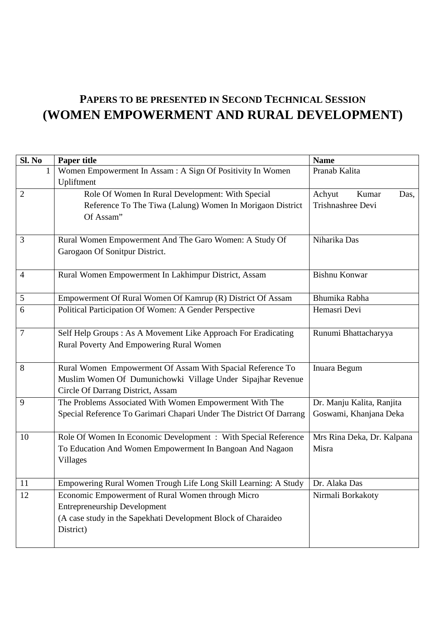# **PAPERS TO BE PRESENTED IN SECOND TECHNICAL SESSION (WOMEN EMPOWERMENT AND RURAL DEVELOPMENT)**

| Sl. No         | Paper title                                                         | <b>Name</b>                |
|----------------|---------------------------------------------------------------------|----------------------------|
| 1              | Women Empowerment In Assam: A Sign Of Positivity In Women           | Pranab Kalita              |
|                | Upliftment                                                          |                            |
| 2              | Role Of Women In Rural Development: With Special                    | Achyut<br>Kumar<br>Das,    |
|                | Reference To The Tiwa (Lalung) Women In Morigaon District           | Trishnashree Devi          |
|                | Of Assam"                                                           |                            |
| 3              | Rural Women Empowerment And The Garo Women: A Study Of              | Niharika Das               |
|                | Garogaon Of Sonitpur District.                                      |                            |
| $\overline{4}$ | Rural Women Empowerment In Lakhimpur District, Assam                | <b>Bishnu Konwar</b>       |
| 5              | Empowerment Of Rural Women Of Kamrup (R) District Of Assam          | Bhumika Rabha              |
| 6              | Political Participation Of Women: A Gender Perspective              | Hemasri Devi               |
| $\overline{7}$ | Self Help Groups : As A Movement Like Approach For Eradicating      | Runumi Bhattacharyya       |
|                | Rural Poverty And Empowering Rural Women                            |                            |
| 8              | Rural Women Empowerment Of Assam With Spacial Reference To          | Inuara Begum               |
|                | Muslim Women Of Dumunichowki Village Under Sipajhar Revenue         |                            |
|                | Circle Of Darrang District, Assam                                   |                            |
| 9              | The Problems Associated With Women Empowerment With The             | Dr. Manju Kalita, Ranjita  |
|                | Special Reference To Garimari Chapari Under The District Of Darrang | Goswami, Khanjana Deka     |
| 10             | Role Of Women In Economic Development : With Special Reference      | Mrs Rina Deka, Dr. Kalpana |
|                | To Education And Women Empowerment In Bangoan And Nagaon            | Misra                      |
|                | Villages                                                            |                            |
| 11             | Empowering Rural Women Trough Life Long Skill Learning: A Study     | Dr. Alaka Das              |
| 12             | Economic Empowerment of Rural Women through Micro                   | Nirmali Borkakoty          |
|                | <b>Entrepreneurship Development</b>                                 |                            |
|                | (A case study in the Sapekhati Development Block of Charaideo       |                            |
|                | District)                                                           |                            |
|                |                                                                     |                            |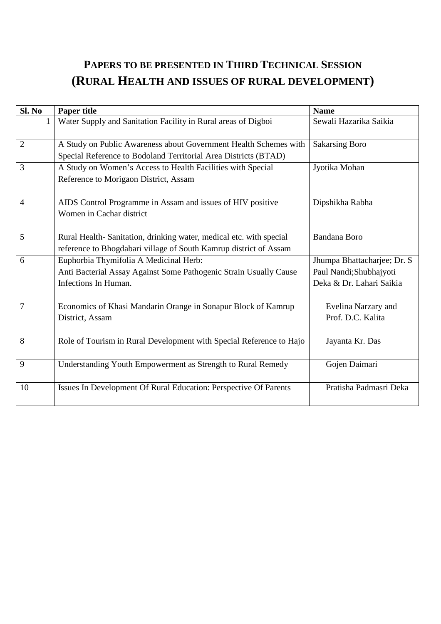## **PAPERS TO BE PRESENTED IN THIRD TECHNICAL SESSION (RURAL HEALTH AND ISSUES OF RURAL DEVELOPMENT)**

| Sl. No         | <b>Paper title</b>                                                  | <b>Name</b>                  |
|----------------|---------------------------------------------------------------------|------------------------------|
| 1              | Water Supply and Sanitation Facility in Rural areas of Digboi       | Sewali Hazarika Saikia       |
| $\overline{2}$ | A Study on Public Awareness about Government Health Schemes with    | <b>Sakarsing Boro</b>        |
|                | Special Reference to Bodoland Territorial Area Districts (BTAD)     |                              |
| 3              | A Study on Women's Access to Health Facilities with Special         | Jyotika Mohan                |
|                | Reference to Morigaon District, Assam                               |                              |
| $\overline{4}$ | AIDS Control Programme in Assam and issues of HIV positive          | Dipshikha Rabha              |
|                | Women in Cachar district                                            |                              |
| 5              | Rural Health-Sanitation, drinking water, medical etc. with special  | <b>Bandana Boro</b>          |
|                | reference to Bhogdabari village of South Kamrup district of Assam   |                              |
| 6              | Euphorbia Thymifolia A Medicinal Herb:                              | Jhumpa Bhattacharjee; Dr. S. |
|                | Anti Bacterial Assay Against Some Pathogenic Strain Usually Cause   | Paul Nandi; Shubhajyoti      |
|                | Infections In Human.                                                | Deka & Dr. Lahari Saikia     |
| 7              | Economics of Khasi Mandarin Orange in Sonapur Block of Kamrup       | Evelina Narzary and          |
|                | District, Assam                                                     | Prof. D.C. Kalita            |
| 8              | Role of Tourism in Rural Development with Special Reference to Hajo | Jayanta Kr. Das              |
| 9              | Understanding Youth Empowerment as Strength to Rural Remedy         | Gojen Daimari                |
| 10             | Issues In Development Of Rural Education: Perspective Of Parents    | Pratisha Padmasri Deka       |